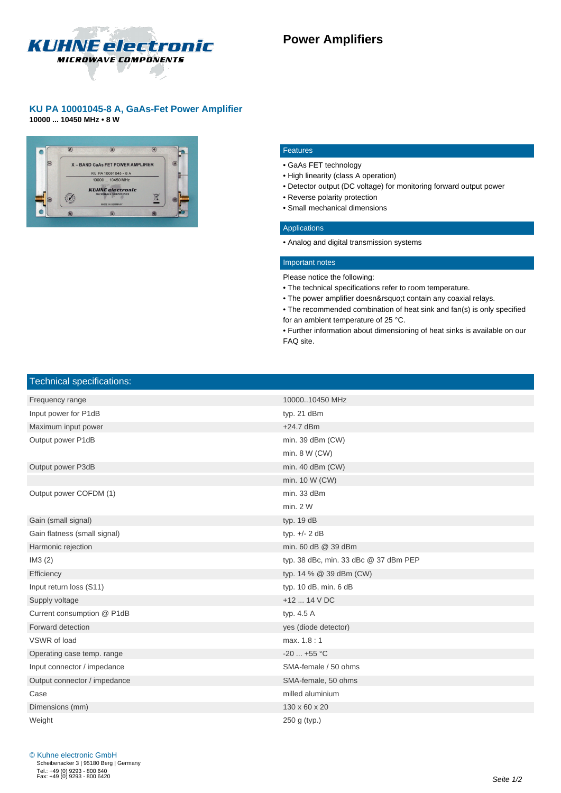

## **KU PA 10001045-8 A, GaAs-Fet Power Amplifier**

**10000 ... 10450 MHz • 8 W**



#### Features

- • GaAs FET technology
- • High linearity (class A operation)
- • Detector output (DC voltage) for monitoring forward output power
- • Reverse polarity protection
- • Small mechanical dimensions

#### Applications

 • Analog and digital transmission systems

### Important notes

- Please notice the following:
- • The technical specifications refer to room temperature.
- The power amplifier doesn't contain any coaxial relays.

 • The recommended combination of heat sink and fan(s) is only specified for an ambient temperature of 25 °C.

 • Further information about dimensioning of heat sinks is available on our FAQ site.

# Technical specifications:

| Frequency range              | 1000010450 MHz                        |
|------------------------------|---------------------------------------|
| Input power for P1dB         | typ. 21 dBm                           |
| Maximum input power          | $+24.7$ dBm                           |
| Output power P1dB            | min. 39 dBm (CW)                      |
|                              | min. $8 W (CW)$                       |
| Output power P3dB            | min. 40 dBm (CW)                      |
|                              | min. 10 W (CW)                        |
| Output power COFDM (1)       | min. 33 dBm                           |
|                              | min. 2 W                              |
| Gain (small signal)          | typ. 19 dB                            |
| Gain flatness (small signal) | typ. $+/- 2$ dB                       |
| Harmonic rejection           | min. 60 dB @ 39 dBm                   |
| IM3(2)                       | typ. 38 dBc, min. 33 dBc @ 37 dBm PEP |
| Efficiency                   | typ. 14 % @ 39 dBm (CW)               |
| Input return loss (S11)      | typ. 10 dB, min. 6 dB                 |
| Supply voltage               | $+12$ 14 V DC                         |
| Current consumption @ P1dB   | typ. 4.5 A                            |
| Forward detection            | yes (diode detector)                  |
| VSWR of load                 | max. 1.8:1                            |
| Operating case temp. range   | $-20$ $+55$ °C                        |
| Input connector / impedance  | SMA-female / 50 ohms                  |
| Output connector / impedance | SMA-female, 50 ohms                   |
| Case                         | milled aluminium                      |
| Dimensions (mm)              | 130 x 60 x 20                         |
| Weight                       | 250 g (typ.)                          |